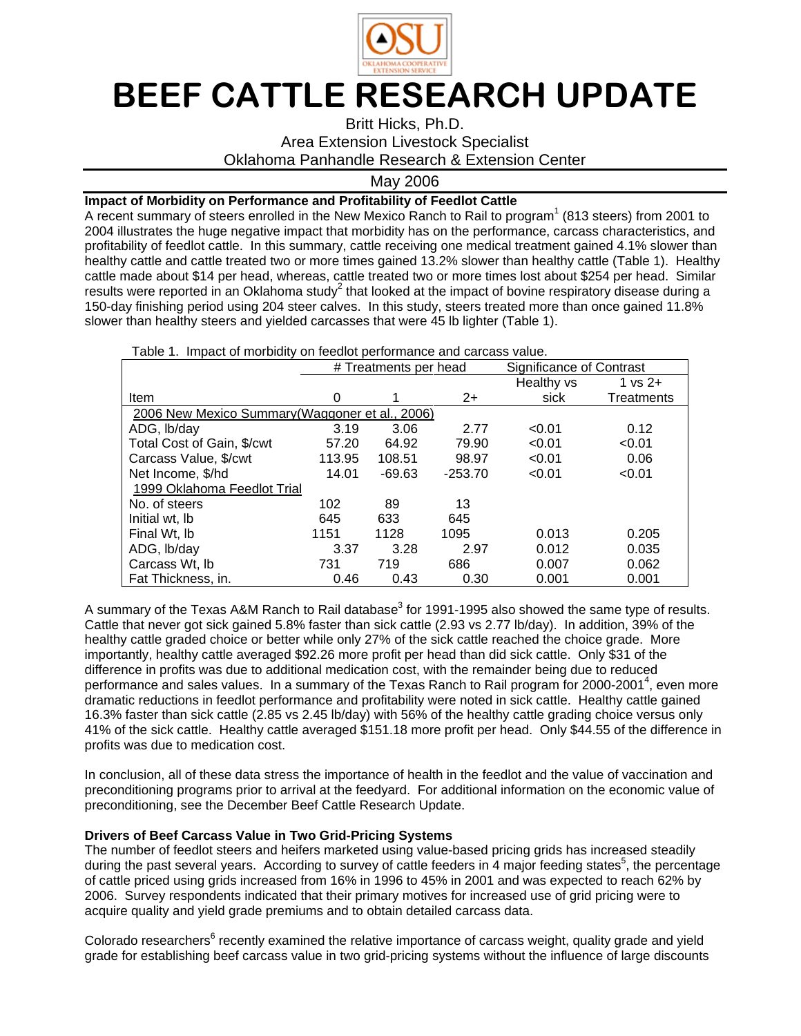

## BEEF CATTLE RESEARCH UPDATE

Britt Hicks, Ph.D.

Area Extension Livestock Specialist

Oklahoma Panhandle Research & Extension Center

May 2006

## **Impact of Morbidity on Performance and Profitability of Feedlot Cattle**

A recent summary of steers enrolled in the New Mexico Ranch to Rail to program<sup>1</sup> (813 steers) from 2001 to 2004 illustrates the huge negative impact that morbidity has on the performance, carcass characteristics, and profitability of feedlot cattle. In this summary, cattle receiving one medical treatment gained 4.1% slower than healthy cattle and cattle treated two or more times gained 13.2% slower than healthy cattle (Table 1). Healthy cattle made about \$14 per head, whereas, cattle treated two or more times lost about \$254 per head. Similar results were reported in an Oklahoma study<sup>2</sup> that looked at the impact of bovine respiratory disease during a 150-day finishing period using 204 steer calves. In this study, steers treated more than once gained 11.8% slower than healthy steers and yielded carcasses that were 45 lb lighter (Table 1).

|  | Table 1. Impact of morbidity on feedlot performance and carcass value. |  |  |  |
|--|------------------------------------------------------------------------|--|--|--|
|--|------------------------------------------------------------------------|--|--|--|

|                                                 | # Treatments per head |          |           | Significance of Contrast |                    |  |  |  |
|-------------------------------------------------|-----------------------|----------|-----------|--------------------------|--------------------|--|--|--|
|                                                 |                       |          |           | Healthy vs               | $1 \text{ vs } 2+$ |  |  |  |
| Item                                            | 0                     |          | $2+$      | sick                     | Treatments         |  |  |  |
| 2006 New Mexico Summary (Waggoner et al., 2006) |                       |          |           |                          |                    |  |  |  |
| ADG, Ib/day                                     | 3.19                  | 3.06     | 2.77      | < 0.01                   | 0.12               |  |  |  |
| Total Cost of Gain, \$/cwt                      | 57.20                 | 64.92    | 79.90     | < 0.01                   | < 0.01             |  |  |  |
| Carcass Value, \$/cwt                           | 113.95                | 108.51   | 98.97     | < 0.01                   | 0.06               |  |  |  |
| Net Income, \$/hd                               | 14.01                 | $-69.63$ | $-253.70$ | < 0.01                   | < 0.01             |  |  |  |
| 1999 Oklahoma Feedlot Trial                     |                       |          |           |                          |                    |  |  |  |
| No. of steers                                   | 102                   | 89       | 13        |                          |                    |  |  |  |
| Initial wt, Ib                                  | 645                   | 633      | 645       |                          |                    |  |  |  |
| Final Wt, Ib                                    | 1151                  | 1128     | 1095      | 0.013                    | 0.205              |  |  |  |
| ADG, Ib/day                                     | 3.37                  | 3.28     | 2.97      | 0.012                    | 0.035              |  |  |  |
| Carcass Wt, Ib                                  | 731                   | 719      | 686       | 0.007                    | 0.062              |  |  |  |
| Fat Thickness, in.                              | 0.46                  | 0.43     | 0.30      | 0.001                    | 0.001              |  |  |  |

A summary of the Texas A&M Ranch to Rail database<sup>3</sup> for 1991-1995 also showed the same type of results. Cattle that never got sick gained 5.8% faster than sick cattle (2.93 vs 2.77 lb/day). In addition, 39% of the healthy cattle graded choice or better while only 27% of the sick cattle reached the choice grade. More importantly, healthy cattle averaged \$92.26 more profit per head than did sick cattle. Only \$31 of the difference in profits was due to additional medication cost, with the remainder being due to reduced performance and sales values. In a summary of the Texas Ranch to Rail program for 2000-2001<sup>4</sup>, even more dramatic reductions in feedlot performance and profitability were noted in sick cattle. Healthy cattle gained 16.3% faster than sick cattle (2.85 vs 2.45 lb/day) with 56% of the healthy cattle grading choice versus only 41% of the sick cattle. Healthy cattle averaged \$151.18 more profit per head. Only \$44.55 of the difference in profits was due to medication cost.

In conclusion, all of these data stress the importance of health in the feedlot and the value of vaccination and preconditioning programs prior to arrival at the feedyard. For additional information on the economic value of preconditioning, see the December Beef Cattle Research Update.

## **Drivers of Beef Carcass Value in Two Grid-Pricing Systems**

The number of feedlot steers and heifers marketed using value-based pricing grids has increased steadily during the past several years. According to survey of cattle feeders in 4 major feeding states<sup>5</sup>, the percentage of cattle priced using grids increased from 16% in 1996 to 45% in 2001 and was expected to reach 62% by 2006. Survey respondents indicated that their primary motives for increased use of grid pricing were to acquire quality and yield grade premiums and to obtain detailed carcass data.

Colorado researchers<sup>6</sup> recently examined the relative importance of carcass weight, quality grade and yield grade for establishing beef carcass value in two grid-pricing systems without the influence of large discounts